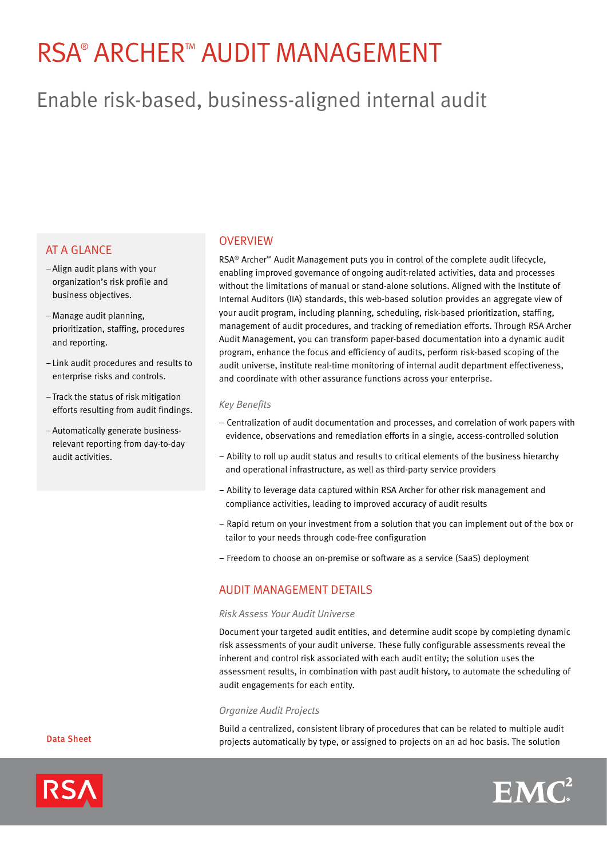# RSA® ARCHER™ AUDIT MANAGEMENT

# Enable risk-based, business-aligned internal audit

# **AT A GLANCE**

- –Align audit plans with your organization's risk profile and business objectives.
- –Manage audit planning, prioritization, staffing, procedures and reporting.
- Link audit procedures and results to enterprise risks and controls.
- –Track the status of risk mitigation efforts resulting from audit findings.
- –Automatically generate businessrelevant reporting from day-to-day audit activities.

### **OVERVIEW**

RSA® Archer™ Audit Management puts you in control of the complete audit lifecycle, enabling improved governance of ongoing audit-related activities, data and processes without the limitations of manual or stand-alone solutions. Aligned with the Institute of Internal Auditors (IIA) standards, this web-based solution provides an aggregate view of your audit program, including planning, scheduling, risk-based prioritization, staffing, management of audit procedures, and tracking of remediation efforts. Through RSA Archer Audit Management, you can transform paper-based documentation into a dynamic audit program, enhance the focus and efficiency of audits, perform risk-based scoping of the audit universe, institute real-time monitoring of internal audit department effectiveness, and coordinate with other assurance functions across your enterprise.

#### *Key Benefits*

- Centralization of audit documentation and processes, and correlation of work papers with evidence, observations and remediation efforts in a single, access-controlled solution
- Ability to roll up audit status and results to critical elements of the business hierarchy and operational infrastructure, as well as third-party service providers
- Ability to leverage data captured within RSA Archer for other risk management and compliance activities, leading to improved accuracy of audit results
- Rapid return on your investment from a solution that you can implement out of the box or tailor to your needs through code-free configuration
- Freedom to choose an on-premise or software as a service (SaaS) deployment

# audit Management Details

#### *Risk Assess Your Audit Universe*

Document your targeted audit entities, and determine audit scope by completing dynamic risk assessments of your audit universe. These fully configurable assessments reveal the inherent and control risk associated with each audit entity; the solution uses the assessment results, in combination with past audit history, to automate the scheduling of audit engagements for each entity.

#### *Organize Audit Projects*

Build a centralized, consistent library of procedures that can be related to multiple audit projects automatically by type, or assigned to projects on an ad hoc basis. The solution



Data Sheet